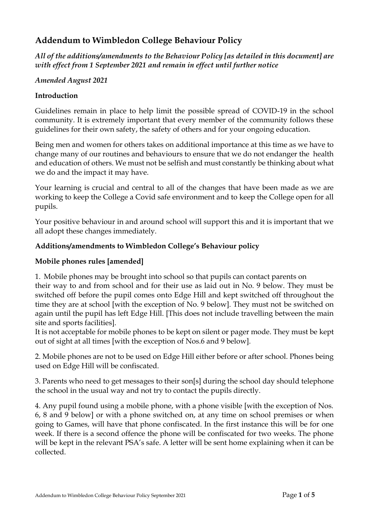# **Addendum to Wimbledon College Behaviour Policy**

*All of the additions/amendments to the Behaviour Policy [as detailed in this document] are with effect from 1 September 2021 and remain in effect until further notice*

#### *Amended August 2021*

#### **Introduction**

Guidelines remain in place to help limit the possible spread of COVID-19 in the school community. It is extremely important that every member of the community follows these guidelines for their own safety, the safety of others and for your ongoing education.

Being men and women for others takes on additional importance at this time as we have to change many of our routines and behaviours to ensure that we do not endanger the health and education of others. We must not be selfish and must constantly be thinking about what we do and the impact it may have.

Your learning is crucial and central to all of the changes that have been made as we are working to keep the College a Covid safe environment and to keep the College open for all pupils.

Your positive behaviour in and around school will support this and it is important that we all adopt these changes immediately.

#### **Additions/amendments to Wimbledon College's Behaviour policy**

#### **Mobile phones rules [amended]**

1. Mobile phones may be brought into school so that pupils can contact parents on

their way to and from school and for their use as laid out in No. 9 below. They must be switched off before the pupil comes onto Edge Hill and kept switched off throughout the time they are at school [with the exception of No. 9 below]. They must not be switched on again until the pupil has left Edge Hill. [This does not include travelling between the main site and sports facilities].

It is not acceptable for mobile phones to be kept on silent or pager mode. They must be kept out of sight at all times [with the exception of Nos.6 and 9 below].

2. Mobile phones are not to be used on Edge Hill either before or after school. Phones being used on Edge Hill will be confiscated.

3. Parents who need to get messages to their son[s] during the school day should telephone the school in the usual way and not try to contact the pupils directly.

4. Any pupil found using a mobile phone, with a phone visible [with the exception of Nos. 6, 8 and 9 below] or with a phone switched on, at any time on school premises or when going to Games, will have that phone confiscated. In the first instance this will be for one week. If there is a second offence the phone will be confiscated for two weeks. The phone will be kept in the relevant PSA's safe. A letter will be sent home explaining when it can be collected.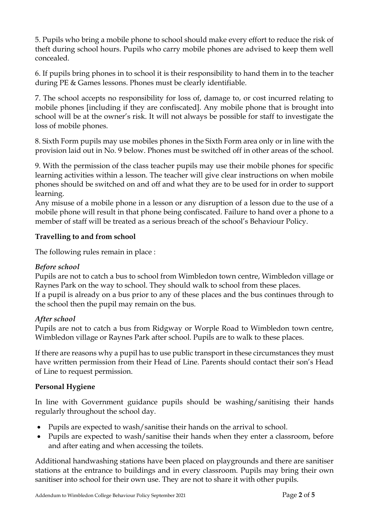5. Pupils who bring a mobile phone to school should make every effort to reduce the risk of theft during school hours. Pupils who carry mobile phones are advised to keep them well concealed.

6. If pupils bring phones in to school it is their responsibility to hand them in to the teacher during PE & Games lessons. Phones must be clearly identifiable.

7. The school accepts no responsibility for loss of, damage to, or cost incurred relating to mobile phones [including if they are confiscated]. Any mobile phone that is brought into school will be at the owner's risk. It will not always be possible for staff to investigate the loss of mobile phones.

8. Sixth Form pupils may use mobiles phones in the Sixth Form area only or in line with the provision laid out in No. 9 below. Phones must be switched off in other areas of the school.

9. With the permission of the class teacher pupils may use their mobile phones for specific learning activities within a lesson. The teacher will give clear instructions on when mobile phones should be switched on and off and what they are to be used for in order to support learning.

Any misuse of a mobile phone in a lesson or any disruption of a lesson due to the use of a mobile phone will result in that phone being confiscated. Failure to hand over a phone to a member of staff will be treated as a serious breach of the school's Behaviour Policy.

# **Travelling to and from school**

The following rules remain in place :

# *Before school*

Pupils are not to catch a bus to school from Wimbledon town centre, Wimbledon village or Raynes Park on the way to school. They should walk to school from these places. If a pupil is already on a bus prior to any of these places and the bus continues through to the school then the pupil may remain on the bus.

# *After school*

Pupils are not to catch a bus from Ridgway or Worple Road to Wimbledon town centre, Wimbledon village or Raynes Park after school. Pupils are to walk to these places.

If there are reasons why a pupil has to use public transport in these circumstances they must have written permission from their Head of Line. Parents should contact their son's Head of Line to request permission.

# **Personal Hygiene**

In line with Government guidance pupils should be washing/sanitising their hands regularly throughout the school day.

- Pupils are expected to wash/sanitise their hands on the arrival to school.
- Pupils are expected to wash/sanitise their hands when they enter a classroom, before and after eating and when accessing the toilets.

Additional handwashing stations have been placed on playgrounds and there are sanitiser stations at the entrance to buildings and in every classroom. Pupils may bring their own sanitiser into school for their own use. They are not to share it with other pupils.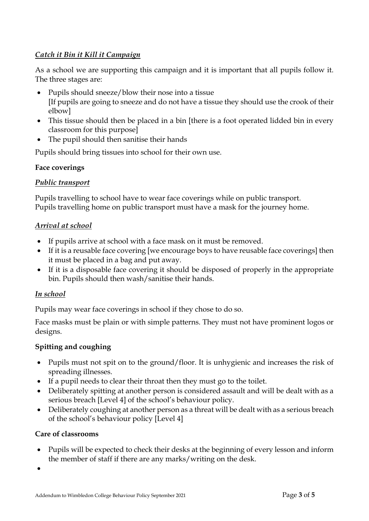# *Catch it Bin it Kill it Campaign*

As a school we are supporting this campaign and it is important that all pupils follow it. The three stages are:

- Pupils should sneeze/blow their nose into a tissue [If pupils are going to sneeze and do not have a tissue they should use the crook of their elbow]
- This tissue should then be placed in a bin [there is a foot operated lidded bin in every classroom for this purpose]
- The pupil should then sanitise their hands

Pupils should bring tissues into school for their own use.

# **Face coverings**

# *Public transport*

Pupils travelling to school have to wear face coverings while on public transport. Pupils travelling home on public transport must have a mask for the journey home.

# *Arrival at school*

- If pupils arrive at school with a face mask on it must be removed.
- If it is a reusable face covering [we encourage boys to have reusable face coverings] then it must be placed in a bag and put away.
- If it is a disposable face covering it should be disposed of properly in the appropriate bin. Pupils should then wash/sanitise their hands.

# *In school*

Pupils may wear face coverings in school if they chose to do so.

Face masks must be plain or with simple patterns. They must not have prominent logos or designs.

# **Spitting and coughing**

- Pupils must not spit on to the ground/floor. It is unhygienic and increases the risk of spreading illnesses.
- If a pupil needs to clear their throat then they must go to the toilet.
- Deliberately spitting at another person is considered assault and will be dealt with as a serious breach [Level 4] of the school's behaviour policy.
- Deliberately coughing at another person as a threat will be dealt with as a serious breach of the school's behaviour policy [Level 4]

# **Care of classrooms**

• Pupils will be expected to check their desks at the beginning of every lesson and inform the member of staff if there are any marks/writing on the desk.

•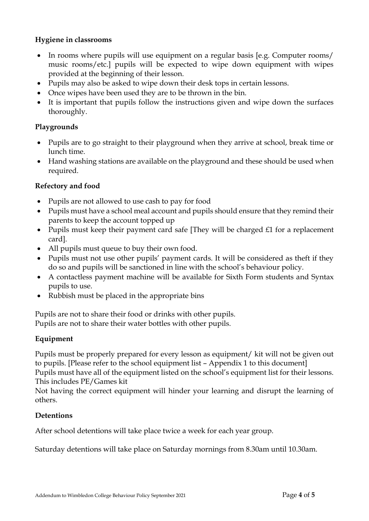#### **Hygiene in classrooms**

- In rooms where pupils will use equipment on a regular basis [e.g. Computer rooms/ music rooms/etc.] pupils will be expected to wipe down equipment with wipes provided at the beginning of their lesson.
- Pupils may also be asked to wipe down their desk tops in certain lessons.
- Once wipes have been used they are to be thrown in the bin.
- It is important that pupils follow the instructions given and wipe down the surfaces thoroughly.

# **Playgrounds**

- Pupils are to go straight to their playground when they arrive at school, break time or lunch time.
- Hand washing stations are available on the playground and these should be used when required.

# **Refectory and food**

- Pupils are not allowed to use cash to pay for food
- Pupils must have a school meal account and pupils should ensure that they remind their parents to keep the account topped up
- Pupils must keep their payment card safe [They will be charged £1 for a replacement card].
- All pupils must queue to buy their own food.
- Pupils must not use other pupils' payment cards. It will be considered as theft if they do so and pupils will be sanctioned in line with the school's behaviour policy.
- A contactless payment machine will be available for Sixth Form students and Syntax pupils to use.
- Rubbish must be placed in the appropriate bins

Pupils are not to share their food or drinks with other pupils. Pupils are not to share their water bottles with other pupils.

# **Equipment**

Pupils must be properly prepared for every lesson as equipment/ kit will not be given out to pupils. [Please refer to the school equipment list – Appendix 1 to this document] Pupils must have all of the equipment listed on the school's equipment list for their lessons. This includes PE/Games kit

Not having the correct equipment will hinder your learning and disrupt the learning of others.

# **Detentions**

After school detentions will take place twice a week for each year group.

Saturday detentions will take place on Saturday mornings from 8.30am until 10.30am.